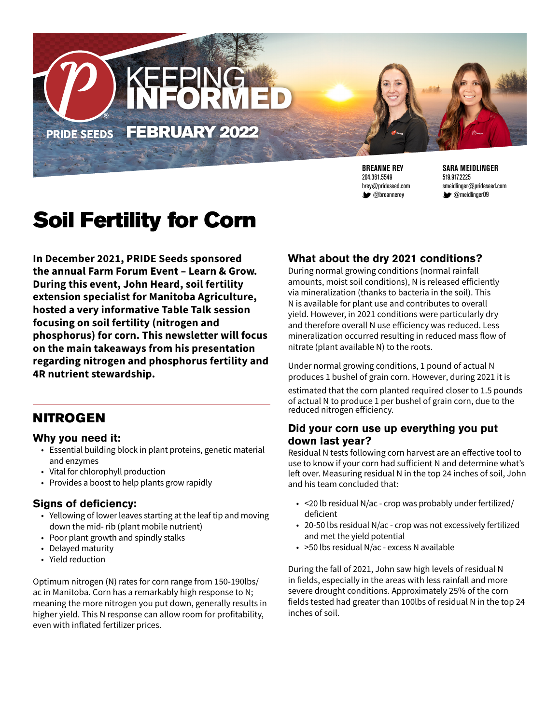

**BREANNE REY** 204.361.5549 brey@prideseed.com **W** @breannerey

**SARA MEIDLINGER** 519.917.2225 smeidlinger@prideseed.com **@meidlinger09** 

# Soil Fertility for Corn

**In December 2021, PRIDE Seeds sponsored the annual Farm Forum Event – Learn & Grow. During this event, John Heard, soil fertility extension specialist for Manitoba Agriculture, hosted a very informative Table Talk session focusing on soil fertility (nitrogen and phosphorus) for corn. This newsletter will focus on the main takeaways from his presentation regarding nitrogen and phosphorus fertility and 4R nutrient stewardship.** 

### NITROGEN

#### **Why you need it:**

- Essential building block in plant proteins, genetic material and enzymes
- Vital for chlorophyll production
- Provides a boost to help plants grow rapidly

#### **Signs of deficiency:**

- Yellowing of lower leaves starting at the leaf tip and moving down the mid- rib (plant mobile nutrient)
- Poor plant growth and spindly stalks
- Delayed maturity
- Yield reduction

Optimum nitrogen (N) rates for corn range from 150-190lbs/ ac in Manitoba. Corn has a remarkably high response to N; meaning the more nitrogen you put down, generally results in higher yield. This N response can allow room for profitability, even with inflated fertilizer prices.

#### **What about the dry 2021 conditions?**

During normal growing conditions (normal rainfall amounts, moist soil conditions), N is released efficiently via mineralization (thanks to bacteria in the soil). This N is available for plant use and contributes to overall yield. However, in 2021 conditions were particularly dry and therefore overall N use efficiency was reduced. Less mineralization occurred resulting in reduced mass flow of nitrate (plant available N) to the roots.

Under normal growing conditions, 1 pound of actual N produces 1 bushel of grain corn. However, during 2021 it is estimated that the corn planted required closer to 1.5 pounds of actual N to produce 1 per bushel of grain corn, due to the reduced nitrogen efficiency.

#### **Did your corn use up everything you put down last year?**

Residual N tests following corn harvest are an effective tool to use to know if your corn had sufficient N and determine what's left over. Measuring residual N in the top 24 inches of soil, John and his team concluded that:

- <20 lb residual N/ac crop was probably under fertilized/ deficient
- 20-50 lbs residual N/ac crop was not excessively fertilized and met the yield potential
- >50 lbs residual N/ac excess N available

During the fall of 2021, John saw high levels of residual N in fields, especially in the areas with less rainfall and more severe drought conditions. Approximately 25% of the corn fields tested had greater than 100lbs of residual N in the top 24 inches of soil.